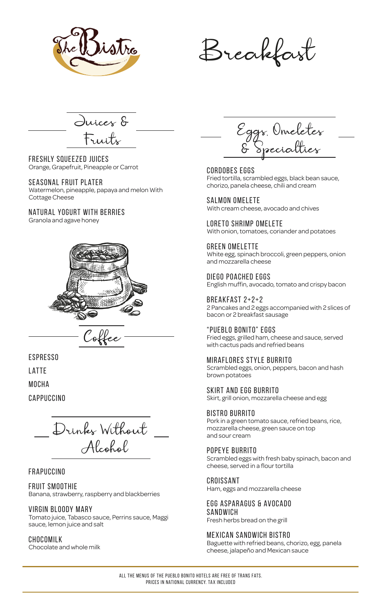CORDOBES EGGS Fried tortilla, scrambled eggs, black bean sauce, chorizo, panela cheese, chili and cream

Salmon Omelete With cream cheese, avocado and chives

Loreto Shrimp OmeletE With onion, tomatoes, coriander and potatoes

Green Omelette White egg, spinach broccoli, green peppers, onion and mozzarella cheese

Diego Poached Eggs English muffin, avocado, tomato and crispy bacon

Breakfast 2+2+2 2 Pancakes and 2 eggs accompanied with 2 slices of bacon or 2 breakfast sausage

"Pueblo Bonito" Eggs Fried eggs, grilled ham, cheese and sauce, served with cactus pads and refried beans

Miraflores Style Burrito Scrambled eggs, onion, peppers, bacon and hash brown potatoes

Skirt and Egg Burrito Skirt, grill onion, mozzarella cheese and egg

Bistro Burrito Pork in a green tomato sauce, refried beans, rice, mozzarella cheese, green sauce on top and sour cream

Scrambled eggs with fresh baby spinach, bacon and cheese, served in a flour tortilla

#### **CROISSANT**

Ham, eggs and mozzarella cheese

# Egg Asparagus & Avocado Sandwich

Fresh herbs bread on the grill

## Mexican Sandwich Bistro

Baguette with refried beans, chorizo, egg, panela cheese, jalapeño and Mexican sauce

All the menus of the pueblo bonito hotels are free of trans fats. Prices in national currency. tax included

Freshly Squeezed Juices Orange, Grapefruit, Pineapple or Carrot

#### Seasonal Fruit Plater Watermelon, pineapple, papaya and melon With

Cottage Cheese

# Natural Yogurt with Berries

Granola and agave honey



espresso

**LATTE** 

mocha

cappuccino

Eggs, Omeletes & Specialties

#### Frapuccino

#### Fruit Smoothie

Banana, strawberry, raspberry and blackberries

### Virgin Bloody Mary

Tomato juice, Tabasco sauce, Perrins sauce, Maggi sauce, lemon juice and salt

#### Chocomilk

Chocolate and whole milk

#### POPEYE BURRITO

Drinks Without Alcohol

Juices & Fruits

Coffee



Breakfast